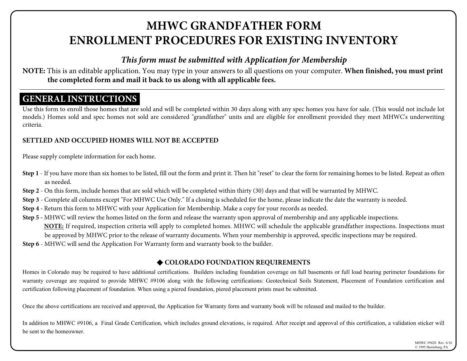# **MHWC GRANDFATHER FORM ENROLLMENT PROCEDURES FOR EXISTING INVENTORY**

## *This form must be submitted with Application for Membership*

**NOTE:** This is an editable application. You may type in your answers to all questions on your computer. **When finished, you must print the completed form and mail it back to us along with all applicable fees.** 

## **GENERAL INSTRUCTIONS**

Use this form to enroll those homes that are sold and will be completed within 30 days along with any spec homes you have for sale. (This would not include lot models.) Homes sold and spec homes not sold are considered "grandfather" units and are eligible for enrollment provided they meet MHWC's underwriting criteria.

### **SETTLED AND OCCUPIED HOMES WILL NOT BE ACCEPTED**

Please supply complete information for each home.

- Step 1 If you have more than six homes to be listed, fill out the form and print it. Then hit "reset" to clear the form for remaining homes to be listed. Repeat as often as needed.
- **Step 2** On this form, include homes that are sold which will be completed within thirty (30) days and that will be warranted by MHWC.
- **Step 3** Complete all columns except "For MHWC Use Only." If a closing is scheduled for the home, please indicate the date the warranty is needed.
- **Step 4 -** Return this form to MHWC with your Application for Membership. Make a copy for your records as needed.
- **Step 5 -** MHWC will review the homes listed on the form and release the warranty upon approval of membership and any applicable inspections. **NOTE:** If required, inspection criteria will apply to completed homes. MHWC will schedule the applicable grandfather inspections. Inspections must be approved by MHWC prior to the release of warranty documents. When your membership is approved, specific inspections may be required.
- **Step 6** MHWC will send the Application For Warranty form and warranty book to the builder.

### ♦ COLORADO FOUNDATION REQUIREMENTS

Homes in Colorado may be required to have additional certifications. Builders including foundation coverage on full basements or full load bearing perimeter foundations for warranty coverage are required to provide MHWC #9106 along with the following certifications: Geotechnical Soils Statement, Placement of Foundation certification and certification following placement of foundation. When using a piered foundation, piered placement prints must be submitted.

Once the above certifications are received and approved, the Application for Warranty form and warranty book will be released and mailed to the builder.

In addition to MHWC #9106, a Final Grade Certification, which includes ground elevations, is required. After receipt and approval of this certification, a validation sticker will be sent to the homeowner.